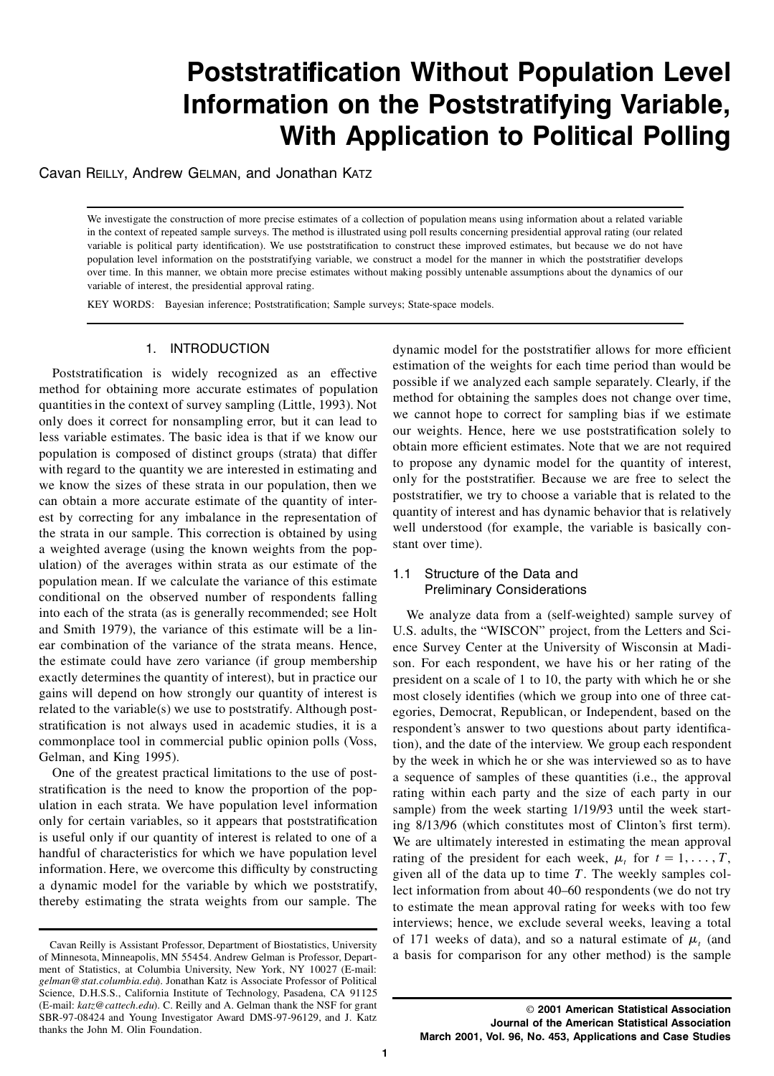# **Poststratification Without Population Level Information on the Poststratifying Variable, With Application to Political Polling**

Cavan Reilly, Andrew Gelman, and Jonathan Katz

We investigate the construction of more precise estimates of a collection of population means using information about a related variable in the context of repeated sample surveys. The method is illustrated using poll results concerning presidential approval rating (our related variable is political party identification). We use poststratification to construct these improved estimates, but because we do not have population level information on the poststratifying variable, we construct a model for the manner in which the poststratifier develops over time. In this manner, we obtain more precise estimates without making possibly untenable assumptions about the dynamics of our variable of interest, the presidential approval rating.

KEY WORDS: Bayesian inference; Poststratification; Sample surveys; State-space models.

## 1. INTRODUCTION

Poststratification is widely recognized as an effective method for obtaining more accurate estimates of population quantitiesin the context of survey sampling (Little, 1993). Not only does it correct for nonsampling error, but it can lead to less variable estimates. The basic idea is that if we know our population is composed of distinct groups (strata) that differ with regard to the quantity we are interested in estimating and we know the sizes of these strata in our population, then we can obtain a more accurate estimate of the quantity of interest by correcting for any imbalance in the representation of the strata in our sample. This correction is obtained by using a weighted average (using the known weights from the population) of the averages within strata as our estimate of the population mean. If we calculate the variance of this estimate conditional on the observed number of respondents falling into each of the strata (as is generally recommended; see Holt and Smith 1979), the variance of this estimate will be a linear combination of the variance of the strata means. Hence, the estimate could have zero variance (if group membership exactly determines the quantity of interest), but in practice our gains will depend on how strongly our quantity of interest is related to the variable(s) we use to poststratify. Although poststratification is not always used in academic studies, it is a commonplace tool in commercial public opinion polls (Voss, Gelman, and King 1995).

One of the greatest practical limitations to the use of poststratification is the need to know the proportion of the population in each strata. We have population level information only for certain variables, so it appears that poststratification is useful only if our quantity of interest is related to one of a handful of characteristics for which we have population level information. Here, we overcome this difficulty by constructing a dynamic model for the variable by which we poststratify, thereby estimating the strata weights from our sample. The

dynamic model for the poststratifier allows for more efficient estimation of the weights for each time period than would be possible if we analyzed each sample separately. Clearly, if the method for obtaining the samples does not change over time, we cannot hope to correct for sampling bias if we estimate our weights. Hence, here we use poststratification solely to obtain more efficient estimates. Note that we are not required to propose any dynamic model for the quantity of interest, only for the poststratifier. Because we are free to select the poststratifier, we try to choose a variable that is related to the quantity of interest and has dynamic behavior that is relatively well understood (for example, the variable is basically constant over time).

# 1.1 Structure of the Data and Preliminary Considerations

We analyze data from a (self-weighted) sample survey of U.S. adults, the "WISCON" project, from the Letters and Science Survey Center at the University of Wisconsin at Madison. For each respondent, we have his or her rating of the president on a scale of 1 to 10, the party with which he or she most closely identifies (which we group into one of three categories, Democrat, Republican, or Independent, based on the respondent's answer to two questions about party identification), and the date of the interview. We group each respondent by the week in which he or she was interviewed so as to have a sequence of samples of these quantities (i.e., the approval rating within each party and the size of each party in our sample) from the week starting 1/19/93 until the week starting 8/13/96 (which constitutes most of Clinton's first term). We are ultimately interested in estimating the mean approval rating of the president for each week,  $\mu_t$  for  $t = 1, \ldots, T$ , given all of the data up to time *T*. The weekly samples collect information from about 40–60 respondents (we do not try to estimate the mean approval rating for weeks with too few interviews; hence, we exclude several weeks, leaving a total of 171 weeks of data), and so a natural estimate of  $\mu$ <sub>*t*</sub> (and a basis for comparison for any other method) is the sample

Cavan Reilly is Assistant Professor, Department of Biostatistics, University of Minnesota, Minneapolis, MN 55454. Andrew Gelman is Professor, Department of Statistics, at Columbia University, New York, NY 10027 (E-mail: *gelman@stat.columbia.edu*). Jonathan Katz is Associate Professor of Political Science, D.H.S.S., California Institute of Technology, Pasadena, CA 91125 (E-mail: *katz@cattech.edu*). C. Reilly and A. Gelman thank the NSF for grant SBR-97-08424 and Young Investigator Award DMS-97-96129, and J. Katz thanks the John M. Olin Foundation.

<sup>©</sup> **2001 American Statistical Association Journal of the American Statistical Association March 2001, Vol. 96, No. 453, Applications and Case Studies**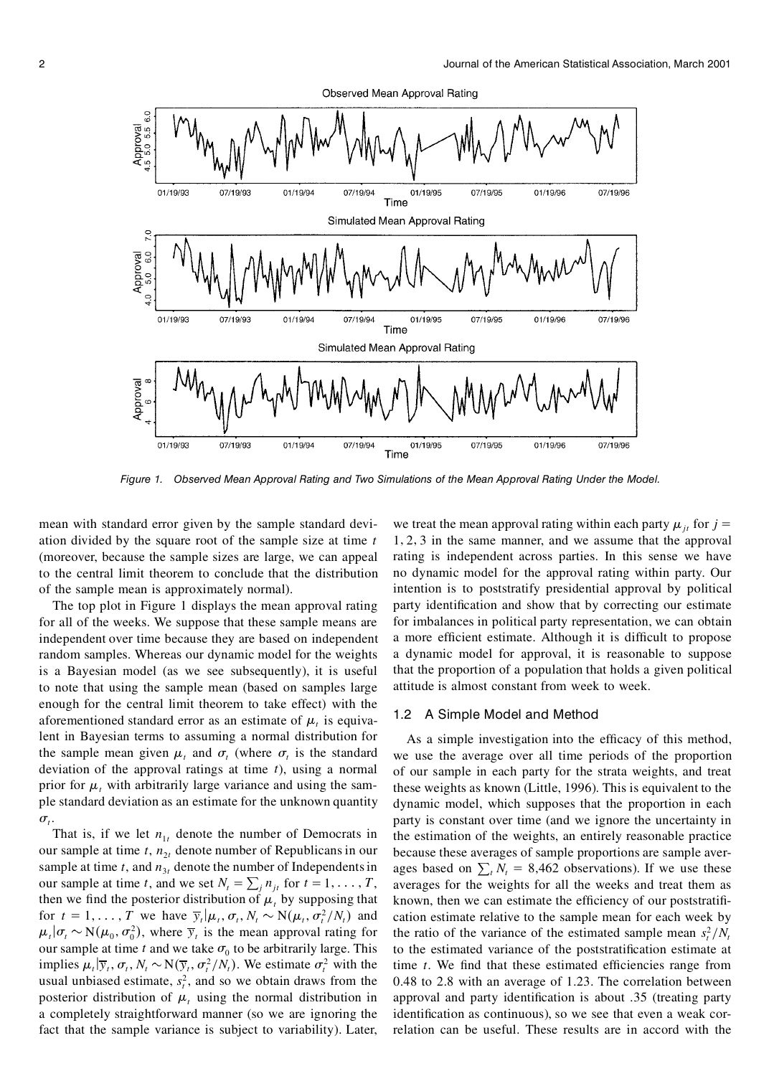

*Figure 1. Observed Mean Approval Rating and Two Simulations of the Mean Approval Rating Under the Model.*

mean with standard error given by the sample standard deviation divided by the square root of the sample size at time *t* (moreover, because the sample sizes are large, we can appeal to the central limit theorem to conclude that the distribution of the sample mean is approximately normal).

The top plot in Figure 1 displays the mean approval rating for all of the weeks. We suppose that these sample means are independent over time because they are based on independent random samples. Whereas our dynamic model for the weights is a Bayesian model (as we see subsequently), it is useful to note that using the sample mean (based on samples large enough for the central limit theorem to take effect) with the aforementioned standard error as an estimate of  $\mu_t$  is equivalent in Bayesian terms to assuming a normal distribution for the sample mean given  $\mu_t$  and  $\sigma_t$  (where  $\sigma_t$  is the standard deviation of the approval ratings at time *t*), using a normal prior for  $\mu$ , with arbitrarily large variance and using the sample standard deviation as an estimate for the unknown quantity  $\sigma_t$ .<br>That is, if we let  $n_{1t}$  denote the number of Democrats in

our sample at time  $t$ ,  $n_{2t}$  denote number of Republicans in our sample at time  $t$ , and  $n<sub>3t</sub>$  denote the number of Independents in our sample at time *t*, and we set  $N_t = \sum_j n_{jt}$  for  $t = 1, \ldots, T$ , then we find the posterior distribution of  $\mu$ , by supposing that for  $t = 1, \ldots, T$  we have  $\overline{y}_t | \mu_t, \sigma_t, N_t \sim N(\mu_t, \sigma_t^2/N_t)$  and c  $\mu_t | \sigma_t \sim N(\mu_0, \sigma_0^2)$ , where  $\overline{y}_t$  is the mean approval rating for our sample at time  $t$  and we take  $\sigma_0$  to be arbitrarily large. This implies  $\mu_t | \overline{y}_t, \sigma_t, N_t \sim N(\overline{y}_t, \sigma_t^2/N_t)$ . We estimate  $\sigma_t^2$  with the t usual unbiased estimate,  $s_t^2$ , and so we obtain draws from the  $\alpha$ posterior distribution of  $\mu$ , using the normal distribution in a completely straightforward manner (so we are ignoring the fact that the sample variance is subject to variability). Later,

we treat the mean approval rating within each party  $\mu_{it}$  for  $j =$ 1*1* 2*1* 3 in the same manner, and we assume that the approval rating is independent across parties. In this sense we have no dynamic model for the approval rating within party. Our intention is to poststratify presidential approval by political party identification and show that by correcting our estimate for imbalances in political party representation, we can obtain a more efficient estimate. Although it is difficult to propose a dynamic model for approval, it is reasonable to suppose that the proportion of a population that holds a given political attitude is almost constant from week to week.

#### 1.2 A Simple Model and Method

As a simple investigation into the efficacy of this method, we use the average over all time periods of the proportion of our sample in each party for the strata weights, and treat these weights as known (Little, 1996). This is equivalent to the dynamic model, which supposes that the proportion in each party is constant over time (and we ignore the uncertainty in the estimation of the weights, an entirely reasonable practice because these averages of sample proportions are sample averages based on  $\sum_{i} N_i = 8,462$  observations). If we use these averages for the weights for all the weeks and treat them as known, then we can estimate the efficiency of our poststratification estimate relative to the sample mean for each week by the ratio of the variance of the estimated sample mean  $s_t^2/N_t$ to the estimated variance of the poststratification estimate at time *t*. We find that these estimated efficiencies range from 0.48 to 2.8 with an average of 1.23. The correlation between approval and party identification is about .35 (treating party identification as continuous), so we see that even a weak correlation can be useful. These results are in accord with the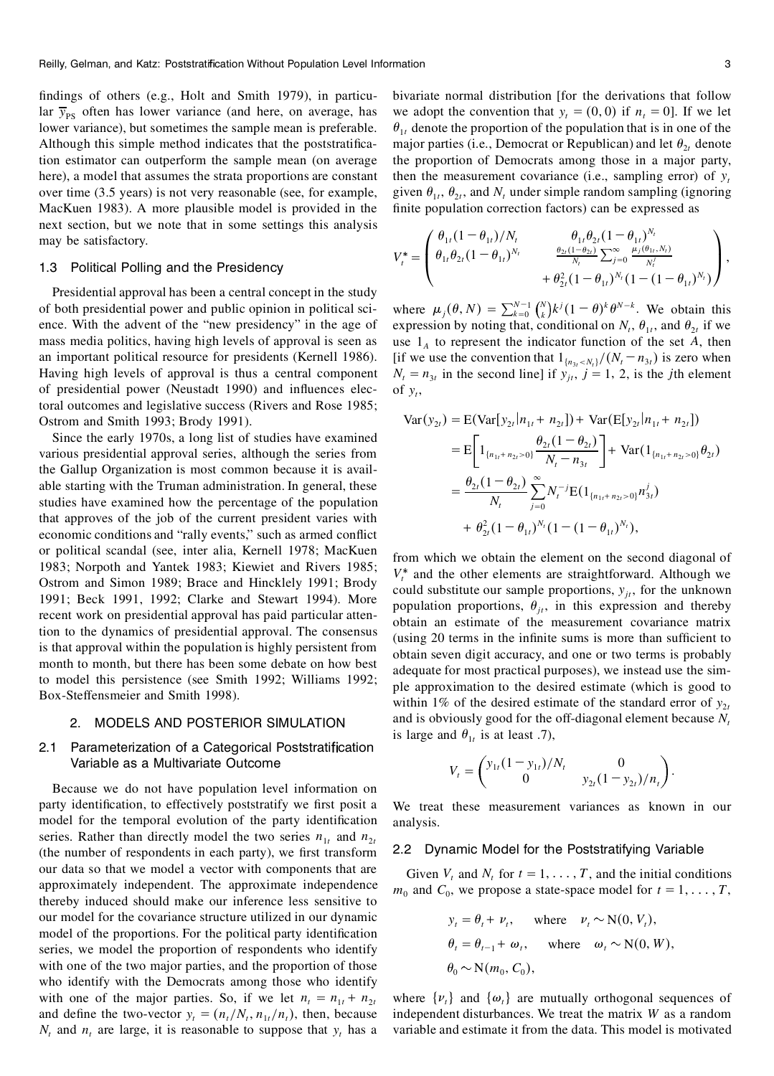findings of others (e.g., Holt and Smith 1979), in particular  $\bar{y}_{PS}$  often has lower variance (and here, on average, has lower variance), but sometimes the sample mean is preferable. Although this simple method indicates that the poststratification estimator can outperform the sample mean (on average here), a model that assumes the strata proportions are constant over time (3.5 years) is not very reasonable (see, for example, MacKuen 1983). A more plausible model is provided in the next section, but we note that in some settings this analysis may be satisfactory.

#### 1.3 Political Polling and the Presidency

Presidential approval has been a central concept in the study of both presidential power and public opinion in political science. With the advent of the "new presidency" in the age of mass media politics, having high levels of approval is seen as an important political resource for presidents (Kernell 1986). Having high levels of approval is thus a central component of presidential power (Neustadt 1990) and influences electoral outcomes and legislative success (Rivers and Rose 1985; Ostrom and Smith 1993; Brody 1991).

Since the early 1970s, a long list of studies have examined various presidential approval series, although the series from the Gallup Organization is most common because it is available starting with the Truman administration. In general, these studies have examined how the percentage of the population that approves of the job of the current president varies with economic conditions and "rally events," such as armed conflict or political scandal (see, inter alia, Kernell 1978; MacKuen 1983; Norpoth and Yantek 1983; Kiewiet and Rivers 1985; Ostrom and Simon 1989; Brace and Hincklely 1991; Brody 1991; Beck 1991, 1992; Clarke and Stewart 1994). More recent work on presidential approval has paid particular attention to the dynamics of presidential approval. The consensus is that approval within the population is highly persistent from month to month, but there has been some debate on how best to model this persistence (see Smith 1992; Williams 1992; Box-Steffensmeier and Smith 1998).

#### 2. MODELS AND POSTERIOR SIMULATION

## 2.1 Parameterization of a Categorical Poststratification Variable as a Multivariate Outcome

Because we do not have population level information on party identification, to effectively poststratify we first posit a model for the temporal evolution of the party identification series. Rather than directly model the two series  $n_{1t}$  and  $n_{2t}$ (the number of respondents in each party), we first transform our data so that we model a vector with components that are approximately independent. The approximate independence thereby induced should make our inference less sensitive to our model for the covariance structure utilized in our dynamic model of the proportions. For the political party identification series, we model the proportion of respondents who identify with one of the two major parties, and the proportion of those who identify with the Democrats among those who identify with one of the major parties. So, if we let  $n_t = n_{1t} + n_{2t}$ and define the two-vector  $y_t = (n_t/N_t, n_{1t}/n_t)$ , then, because  $N_t$  and  $n_t$  are large, it is reasonable to suppose that  $y_t$  has a

bivariate normal distribution [for the derivations that follow we adopt the convention that  $y_t = (0, 0)$  if  $n_t = 0$ . If we let  $\theta_{1t}$  denote the proportion of the population that is in one of the major parties (i.e., Democrat or Republican) and let  $\theta_{2t}$  denote the proportion of Democrats among those in a major party, then the measurement covariance (i.e., sampling error) of  $y_t$ given  $\theta_1$ ,  $\theta_2$ , and  $N$ , under simple random sampling (ignoring finite population correction factors) can be expressed as

$$
V_t^* = \begin{pmatrix} \theta_{1t}(1-\theta_{1t})/N_t & \theta_{1t}\theta_{2t}(1-\theta_{1t})^{N_t} \\ \theta_{1t}\theta_{2t}(1-\theta_{1t})^{N_t} & \frac{\theta_{2t}(1-\theta_{2t})}{N_t} \sum_{j=0}^{\infty} \frac{\mu_j(\theta_{1t}, N_t)}{N_t^j} \\ + \theta_{2t}^2(1-\theta_{1t})^{N_t}(1-(1-\theta_{1t})^{N_t}) \end{pmatrix},
$$

where  $\mu_j(\theta, N) = \sum_{k=0}^{N-1} {N \choose k} k^j (1-\theta)^k \theta^{N-k}$ . We obtain this expression by noting that, conditional on  $N_t$ ,  $\theta_{1t}$ , and  $\theta_{2t}$  if we use  $1_A$  to represent the indicator function of the set  $A$ , then [if we use the convention that  $1_{\{n_3 \lt N_t\}}/(N_t - n_{3t})$  is zero when  $N_t = n_{3t}$  in the second line] if  $y_{jt}$ ,  $j = 1, 2$ , is the *j*th element of  $y_t$ ,

$$
\begin{split} \text{Var}(y_{2t}) &= \mathbb{E}(\text{Var}[y_{2t} | n_{1t} + n_{2t}]) + \text{Var}(\mathbb{E}[y_{2t} | n_{1t} + n_{2t}]) \\ &= \mathbb{E}\bigg[1_{\{n_{1t}+n_{2t} > 0\}} \frac{\theta_{2t}(1-\theta_{2t})}{N_t - n_{3t}}\bigg] + \text{Var}(1_{\{n_{1t}+n_{2t} > 0\}} \theta_{2t}) \\ &= \frac{\theta_{2t}(1-\theta_{2t})}{N_t} \sum_{j=0}^{\infty} N_t^{-j} \mathbb{E}(1_{\{n_{1t}+n_{2t} > 0\}} n_{3t}^j) \\ &+ \theta_{2t}^2 (1-\theta_{1t})^{N_t} (1 - (1-\theta_{1t})^{N_t}), \end{split}
$$

from which we obtain the element on the second diagonal of  $V_t^*$  and the other elements are straightforward. Although we could substitute our sample proportions,  $y_i$ , for the unknown population proportions,  $\theta_{it}$ , in this expression and thereby obtain an estimate of the measurement covariance matrix (using 20 terms in the infinite sums is more than sufficient to obtain seven digit accuracy, and one or two terms is probably adequate for most practical purposes), we instead use the simple approximation to the desired estimate (which is good to within 1% of the desired estimate of the standard error of  $y_{2t}$ and is obviously good for the off-diagonal element because *N<sup>t</sup>* is large and  $\theta_{1t}$  is at least .7),

$$
V_t = \begin{pmatrix} y_{1t}(1 - y_{1t})/N_t & 0\\ 0 & y_{2t}(1 - y_{2t})/n_t \end{pmatrix}
$$

*0*

We treat these measurement variances as known in our analysis.

#### 2.2 Dynamic Model for the Poststratifying Variable

Given  $V_t$  and  $N_t$  for  $t = 1, \ldots, T$ , and the initial conditions  $m_0$  and  $C_0$ , we propose a state-space model for  $t = 1, \ldots, T$ ,

$$
y_t = \theta_t + \nu_t, \quad \text{where} \quad \nu_t \sim N(0, V_t),
$$
  
\n
$$
\theta_t = \theta_{t-1} + \omega_t, \quad \text{where} \quad \omega_t \sim N(0, W),
$$
  
\n
$$
\theta_0 \sim N(m_0, C_0),
$$

where  $\{v_t\}$  and  $\{\omega_t\}$  are mutually orthogonal sequences of independent disturbances. We treat the matrix  $W$  as a random variable and estimate it from the data. This model is motivated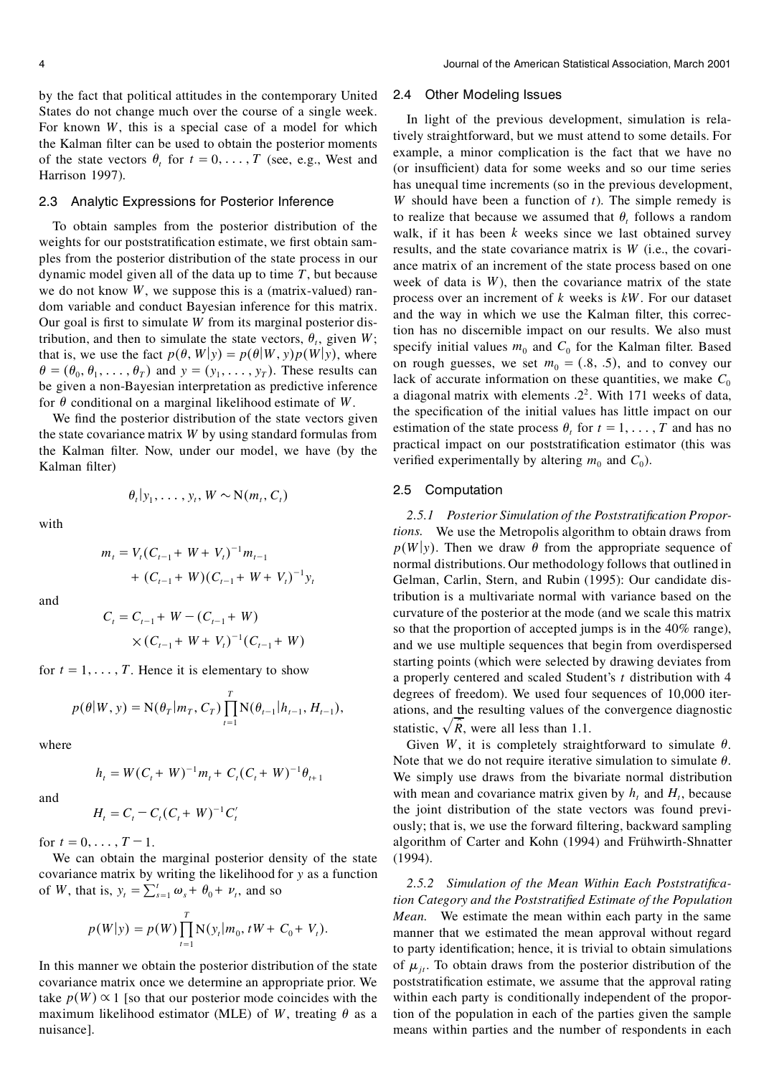by the fact that political attitudes in the contemporary United States do not change much over the course of a single week. For known *W*, this is a special case of a model for which the Kalman filter can be used to obtain the posterior moments of the state vectors  $\theta_t$  for  $t = 0, \ldots, T$  (see, e.g., West and Harrison 1997).

#### 2.3 Analytic Expressions for Posterior Inference

To obtain samples from the posterior distribution of the weights for our poststratification estimate, we first obtain samples from the posterior distribution of the state process in our dynamic model given all of the data up to time *T*, but because we do not know *W*, we suppose this is a (matrix-valued) random variable and conduct Bayesian inference for this matrix. Our goal is first to simulate *W* from its marginal posterior distribution, and then to simulate the state vectors,  $\theta_t$ , given *W*; that is, we use the fact  $p(\theta, W|y) = p(\theta|W, y)p(W|y)$ , where  $\theta = (\theta_0, \theta_1, \dots, \theta_T)$  and  $y = (y_1, \dots, y_T)$ . These results can be given a non-Bayesian interpretation as predictive inference for  $\theta$  conditional on a marginal likelihood estimate of *W*.

We find the posterior distribution of the state vectors given the state covariance matrix *W* by using standard formulas from the Kalman filter. Now, under our model, we have (by the Kalman filter)

with

$$
\theta_t|y_1,\ldots,y_t,W\sim N(m_t,C_t)
$$

$$
m_{t} = V_{t}(C_{t-1} + W + V_{t})^{-1}m_{t-1}
$$
  
+  $(C_{t-1} + W)(C_{t-1} + W + V_{t})^{-1}y_{t}$ 

and

$$
C_t = C_{t-1} + W - (C_{t-1} + W)
$$
  
 
$$
\times (C_{t-1} + W + V_t)^{-1} (C_{t-1} + W)
$$

for  $t = 1, \ldots, T$ . Hence it is elementary to show

$$
p(\theta|W, y) = N(\theta_T|m_T, C_T) \prod_{t=1}^T N(\theta_{t-1}|h_{t-1}, H_{t-1}),
$$

where

$$
h_t = W(C_t + W)^{-1} m_t + C_t (C_t + W)^{-1} \theta_{t+1}
$$

and

$$
H_t = C_t - C_t (C_t + W)^{-1} C'_t
$$

for  $t = 0, \ldots, T-1$ .

We can obtain the marginal posterior density of the state covariance matrix by writing the likelihood for *y* as a function of *W*, that is,  $y_t = \sum_{s=1}^t \omega_s + \theta_0 + \nu_t$ , and so

$$
p(W|y) = p(W) \prod_{t=1}^{T} N(y_t|m_0, tW + C_0 + V_t).
$$

In this manner we obtain the posterior distribution of the state covariance matrix once we determine an appropriate prior. We take  $p(W) \propto 1$  [so that our posterior mode coincides with the maximum likelihood estimator (MLE) of *W*, treating  $\theta$  as a nuisance].

#### 2.4 Other Modeling Issues

In light of the previous development, simulation is relatively straightforward, but we must attend to some details. For example, a minor complication is the fact that we have no (or insufficient) data for some weeks and so our time series has unequal time increments (so in the previous development, *W* should have been a function of *t*). The simple remedy is to realize that because we assumed that  $\theta$ <sup>*t*</sup> follows a random walk, if it has been *k* weeks since we last obtained survey results, and the state covariance matrix is *W* (i.e., the covariance matrix of an increment of the state process based on one week of data is *W*), then the covariance matrix of the state process over an increment of *k* weeks is *kW* . For our dataset and the way in which we use the Kalman filter, this correction has no discernible impact on our results. We also must specify initial values  $m_0$  and  $C_0$  for the Kalman filter. Based on rough guesses, we set  $m_0 = (.8, .5)$ , and to convey our lack of accurate information on these quantities, we make  $C_0$ a diagonal matrix with elements .2<sup>2</sup>. With 171 weeks of data, the specification of the initial values has little impact on our estimation of the state process  $\theta_t$  for  $t = 1, \ldots, T$  and has no practical impact on our poststratification estimator (this was verified experimentally by altering  $m_0$  and  $C_0$ ).

#### 2.5 Computation

2.5.1 Posterior Simulation of the Poststratification Propor*tions.* We use the Metropolis algorithm to obtain draws from  $p(W|y)$ . Then we draw  $\theta$  from the appropriate sequence of normal distributions. Our methodology follows that outlined in Gelman, Carlin, Stern, and Rubin (1995): Our candidate distribution is a multivariate normal with variance based on the curvature of the posterior at the mode (and we scale this matrix so that the proportion of accepted jumps is in the 40% range), and we use multiple sequences that begin from overdispersed starting points (which were selected by drawing deviates from a properly centered and scaled Student's *t* distribution with 4 degrees of freedom). We used four sequences of 10,000 iterations, and the resulting values of the convergence diagnostic statistic,  $\sqrt{\hat{R}}$ , were all less than 1.1.

Given *W*, it is completely straightforward to simulate  $\theta$ . Note that we do not require iterative simulation to simulate  $\theta$ . We simply use draws from the bivariate normal distribution with mean and covariance matrix given by  $h_t$  and  $H_t$ , because the joint distribution of the state vectors was found previously; that is, we use the forward filtering, backward sampling algorithm of Carter and Kohn (1994) and Frühwirth-Shnatter (1994).

*2.5.2 Simulation of the Mean Within Each Poststratication Category and the Poststratied Estimate of the Population Mean.* We estimate the mean within each party in the same manner that we estimated the mean approval without regard to party identification; hence, it is trivial to obtain simulations of  $\mu_{i}$ . To obtain draws from the posterior distribution of the poststratification estimate, we assume that the approval rating within each party is conditionally independent of the proportion of the population in each of the parties given the sample means within parties and the number of respondents in each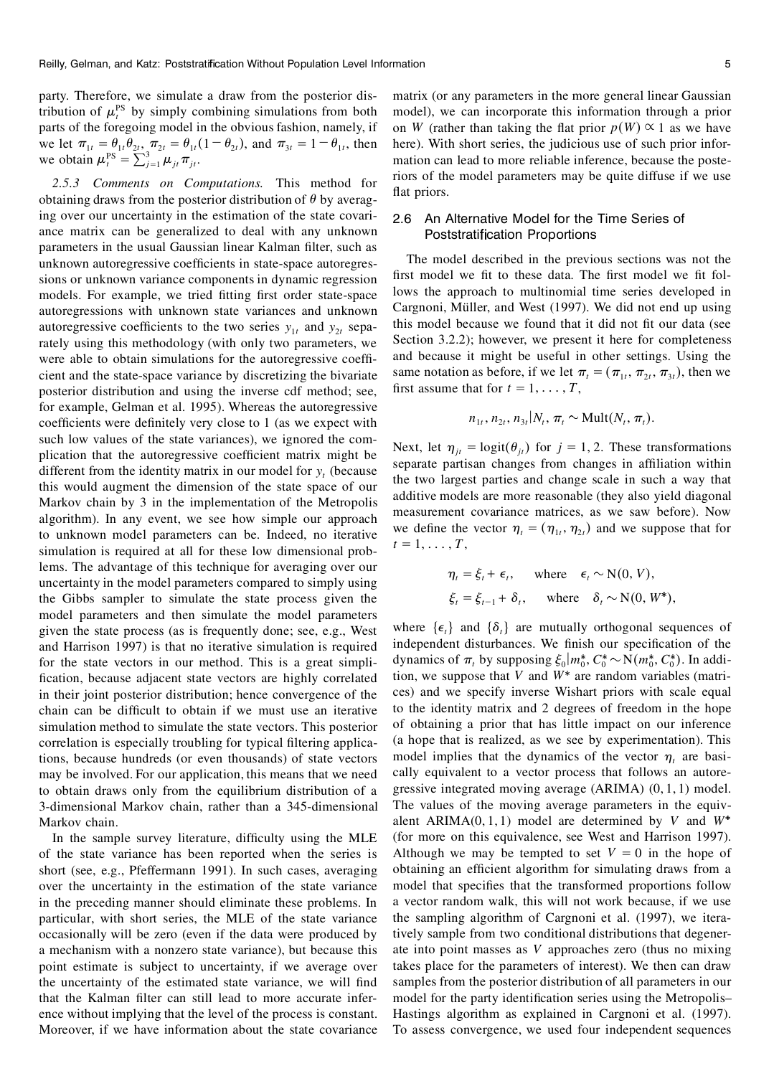party. Therefore, we simulate a draw from the posterior distribution of  $\mu_t^{PS}$  by simply combining simulations from both n parts of the foregoing model in the obvious fashion, namely, if we let  $\pi_{1t} = \theta_{1t} \theta_{2t}$ ,  $\pi_{2t} = \theta_{1t} (1 - \theta_{2t})$ , and  $\pi_{3t} = 1 - \theta_{1t}$ , then h we obtain  $\mu_t^{PS} = \sum_{j=1}^3 \mu_{jt} \pi_{jt}$ .

*2.5.3 Comments on Computations.* This method for obtaining draws from the posterior distribution of  $\theta$  by averaging over our uncertainty in the estimation of the state covariance matrix can be generalized to deal with any unknown parameters in the usual Gaussian linear Kalman filter, such as unknown autoregressive coefficients in state-space autoregressions or unknown variance components in dynamic regression models. For example, we tried fitting first order state-space autoregressions with unknown state variances and unknown autoregressive coefficients to the two series  $y_{1t}$  and  $y_{2t}$  separately using this methodology (with only two parameters, we were able to obtain simulations for the autoregressive coefficient and the state-space variance by discretizing the bivariate posterior distribution and using the inverse cdf method; see, for example, Gelman et al. 1995). Whereas the autoregressive coefficients were definitely very close to 1 (as we expect with such low values of the state variances), we ignored the complication that the autoregressive coefficient matrix might be different from the identity matrix in our model for  $y_t$  (because this would augment the dimension of the state space of our Markov chain by 3 in the implementation of the Metropolis algorithm). In any event, we see how simple our approach to unknown model parameters can be. Indeed, no iterative simulation is required at all for these low dimensional problems. The advantage of this technique for averaging over our uncertainty in the model parameters compared to simply using the Gibbs sampler to simulate the state process given the model parameters and then simulate the model parameters given the state process (as is frequently done; see, e.g., West and Harrison 1997) is that no iterative simulation is required for the state vectors in our method. This is a great simpli fication, because adjacent state vectors are highly correlated in their joint posterior distribution; hence convergence of the chain can be difficult to obtain if we must use an iterative simulation method to simulate the state vectors. This posterior correlation is especially troubling for typical filtering applications, because hundreds (or even thousands) of state vectors may be involved. For our application, this means that we need to obtain draws only from the equilibrium distribution of a 3-dimensional Markov chain, rather than a 345-dimensional Markov chain.

In the sample survey literature, difficulty using the MLE of the state variance has been reported when the series is short (see, e.g., Pfeffermann 1991). In such cases, averaging over the uncertainty in the estimation of the state variance in the preceding manner should eliminate these problems. In particular, with short series, the MLE of the state variance occasionally will be zero (even if the data were produced by a mechanism with a nonzero state variance), but because this point estimate is subject to uncertainty, if we average over the uncertainty of the estimated state variance, we will find that the Kalman filter can still lead to more accurate inference without implying that the level of the process is constant. Moreover, if we have information about the state covariance matrix (or any parameters in the more general linear Gaussian model), we can incorporate this information through a prior on *W* (rather than taking the flat prior  $p(W) \propto 1$  as we have here). With short series, the judicious use of such prior information can lead to more reliable inference, because the posteriors of the model parameters may be quite diffuse if we use flat priors.

## 2.6 An Alternative Model for the Time Series of Poststratification Proportions

The model described in the previous sections was not the first model we fit to these data. The first model we fit follows the approach to multinomial time series developed in Cargnoni, Müller, and West (1997). We did not end up using this model because we found that it did not fit our data (see Section 3.2.2); however, we present it here for completeness and because it might be useful in other settings. Using the same notation as before, if we let  $\pi_t = (\pi_{1t}, \pi_{2t}, \pi_{3t})$ , then we first assume that for  $t = 1, \ldots, T$ ,

$$
n_{1t}, n_{2t}, n_{3t}|N_t, \pi_t \sim \text{Mult}(N_t, \pi_t).
$$

Next, let  $\eta_{jt} = \text{logit}(\theta_{jt})$  for  $j = 1, 2$ . These transformations separate partisan changes from changes in affiliation within the two largest parties and change scale in such a way that additive models are more reasonable (they also yield diagonal measurement covariance matrices, as we saw before). Now we define the vector  $\eta_t = (\eta_{1t}, \eta_{2t})$  and we suppose that for  $t = 1, \ldots, T$ ,

$$
\eta_t = \xi_t + \epsilon_t, \quad \text{where} \quad \epsilon_t \sim N(0, V),
$$
  
\n
$$
\xi_t = \xi_{t-1} + \delta_t, \quad \text{where} \quad \delta_t \sim N(0, W^*),
$$

where  $\{\epsilon_{i}\}\$  and  $\{\delta_{i}\}\$ are mutually orthogonal sequences of independent disturbances. We finish our specification of the dynamics of  $\pi$ , by supposing  $\xi_0 | m_0^*, C_0^* \sim N(m_0^*, C_0^*)$ . In addition, we suppose that  $V$  and  $W^*$  are random variables (matrices) and we specify inverse Wishart priors with scale equal to the identity matrix and 2 degrees of freedom in the hope of obtaining a prior that has little impact on our inference (a hope that is realized, as we see by experimentation). This model implies that the dynamics of the vector  $\eta_t$  are basically equivalent to a vector process that follows an autoregressive integrated moving average (ARIMA) (0, 1, 1) model. The values of the moving average parameters in the equivalent ARIMA $(0, 1, 1)$  model are determined by *V* and  $W^*$ (for more on this equivalence, see West and Harrison 1997). Although we may be tempted to set  $V = 0$  in the hope of obtaining an efficient algorithm for simulating draws from a model that specifies that the transformed proportions follow a vector random walk, this will not work because, if we use the sampling algorithm of Cargnoni et al. (1997), we iteratively sample from two conditional distributions that degenerate into point masses as *V* approaches zero (thus no mixing takes place for the parameters of interest). We then can draw samples from the posterior distribution of all parameters in our model for the party identification series using the Metropolis– Hastings algorithm as explained in Cargnoni et al. (1997). To assess convergence, we used four independent sequences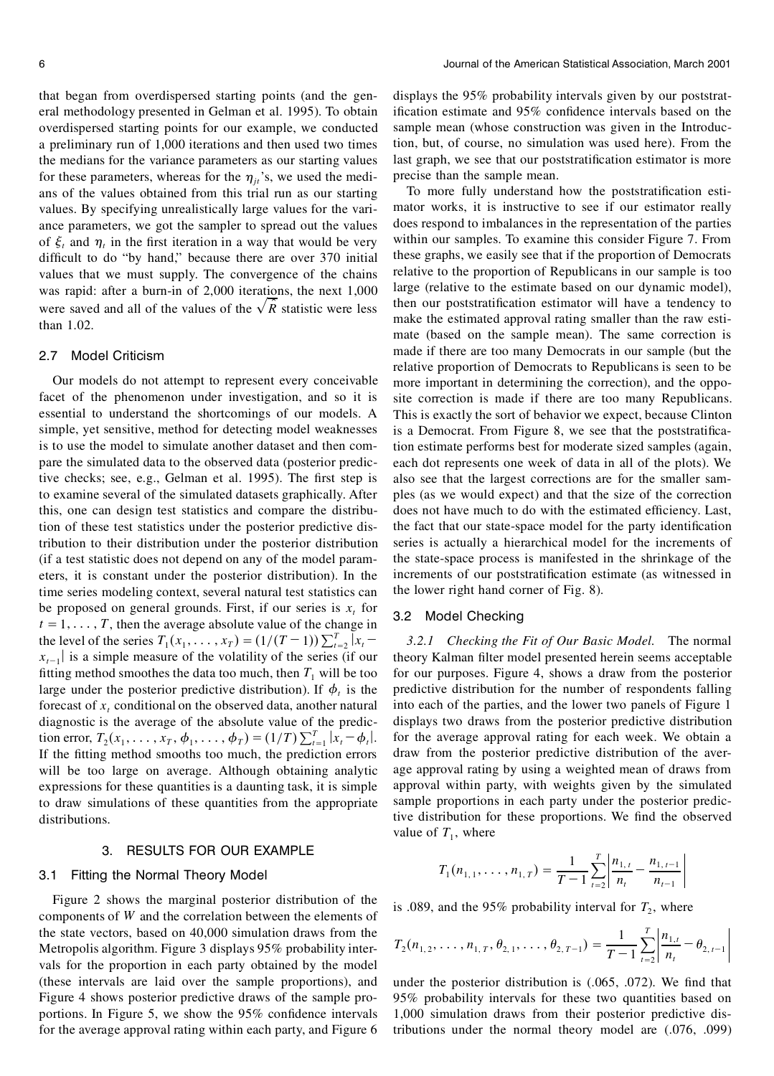that began from overdispersed starting points (and the general methodology presented in Gelman et al. 1995). To obtain overdispersed starting points for our example, we conducted a preliminary run of 1,000 iterations and then used two times the medians for the variance parameters as our starting values for these parameters, whereas for the  $\eta_{it}$ 's, we used the medians of the values obtained from this trial run as our starting values. By specifying unrealistically large values for the variance parameters, we got the sampler to spread out the values of  $\xi_t$  and  $\eta_t$  in the first iteration in a way that would be very difficult to do "by hand," because there are over 370 initial values that we must supply. The convergence of the chains was rapid: after a burn-in of 2,000 iterations, the next 1,000 were saved and all of the values of the  $\sqrt{\hat{R}}$  statistic were less than 1.02.

## 2.7 Model Criticism

Our models do not attempt to represent every conceivable facet of the phenomenon under investigation, and so it is essential to understand the shortcomings of our models. A simple, yet sensitive, method for detecting model weaknesses is to use the model to simulate another dataset and then compare the simulated data to the observed data (posterior predictive checks; see, e.g., Gelman et al. 1995). The first step is to examine several of the simulated datasets graphically. After this, one can design test statistics and compare the distribution of these test statistics under the posterior predictive distribution to their distribution under the posterior distribution (if a test statistic does not depend on any of the model parameters, it is constant under the posterior distribution). In the time series modeling context, several natural test statistics can be proposed on general grounds. First, if our series is  $x<sub>t</sub>$  for  $t = 1, \ldots, T$ , then the average absolute value of the change in the level of the series  $T_1(x_1, \ldots, x_T) = (1/(T-1)) \sum_{t=2}^{T} |x_t - \cdots$  $x_{t-1}$  is a simple measure of the volatility of the series (if our fitting method smoothes the data too much, then  $T_1$  will be too large under the posterior predictive distribution). If  $\phi_t$  is the forecast of  $x_t$  conditional on the observed data, another natural diagnostic is the average of the absolute value of the prediction error,  $T_2(x_1, ..., x_T, \phi_1, ..., \phi_T) = (1/T) \sum_{t=1}^T |x_t - \phi_t|$ . If the fitting method smooths too much, the prediction errors will be too large on average. Although obtaining analytic expressions for these quantities is a daunting task, it is simple to draw simulations of these quantities from the appropriate distributions.

## 3. RESULTS FOR OUR EXAMPLE

#### 3.1 Fitting the Normal Theory Model

Figure 2 shows the marginal posterior distribution of the components of *W* and the correlation between the elements of the state vectors, based on 40,000 simulation draws from the Metropolis algorithm. Figure 3 displays 95% probability intervals for the proportion in each party obtained by the model (these intervals are laid over the sample proportions), and Figure 4 shows posterior predictive draws of the sample proportions. In Figure 5, we show the  $95\%$  confidence intervals for the average approval rating within each party, and Figure 6 displays the 95% probability intervals given by our poststratification estimate and  $95\%$  confidence intervals based on the sample mean (whose construction was given in the Introduction, but, of course, no simulation was used here). From the last graph, we see that our poststratification estimator is more precise than the sample mean.

To more fully understand how the poststratification estimator works, it is instructive to see if our estimator really does respond to imbalances in the representation of the parties within our samples. To examine this consider Figure 7. From these graphs, we easily see that if the proportion of Democrats relative to the proportion of Republicans in our sample is too large (relative to the estimate based on our dynamic model), then our poststratification estimator will have a tendency to make the estimated approval rating smaller than the raw estimate (based on the sample mean). The same correction is made if there are too many Democrats in our sample (but the relative proportion of Democrats to Republicans is seen to be more important in determining the correction), and the opposite correction is made if there are too many Republicans. This is exactly the sort of behavior we expect, because Clinton is a Democrat. From Figure 8, we see that the poststratification estimate performs best for moderate sized samples (again, each dot represents one week of data in all of the plots). We also see that the largest corrections are for the smaller samples (as we would expect) and that the size of the correction does not have much to do with the estimated efficiency. Last, the fact that our state-space model for the party identification series is actually a hierarchical model for the increments of the state-space process is manifested in the shrinkage of the increments of our poststratification estimate (as witnessed in the lower right hand corner of Fig. 8).

## 3.2 Model Checking

*3.2.1 Checking the Fit of Our Basic Model.* The normal theory Kalman filter model presented herein seems acceptable for our purposes. Figure 4, shows a draw from the posterior predictive distribution for the number of respondents falling into each of the parties, and the lower two panels of Figure 1 displays two draws from the posterior predictive distribution for the average approval rating for each week. We obtain a draw from the posterior predictive distribution of the average approval rating by using a weighted mean of draws from approval within party, with weights given by the simulated sample proportions in each party under the posterior predictive distribution for these proportions. We find the observed value of  $T_1$ , where

$$
T_1(n_{1,1},\ldots,n_{1,T})=\frac{1}{T-1}\sum_{t=2}^T\left|\frac{n_{1,t}}{n_t}-\frac{n_{1,t-1}}{n_{t-1}}\right|
$$

is .089, and the 95% probability interval for  $T_2$ , where

$$
T_2(n_{1,2},\ldots,n_{1,T},\theta_{2,1},\ldots,\theta_{2,T-1})=\frac{1}{T-1}\sum_{t=2}^T\left|\frac{n_{1,t}}{n_t}-\theta_{2,t-1}\right|
$$

under the posterior distribution is  $(.065, .072)$ . We find that 95% probability intervals for these two quantities based on 1,000 simulation draws from their posterior predictive distributions under the normal theory model are (.076, .099)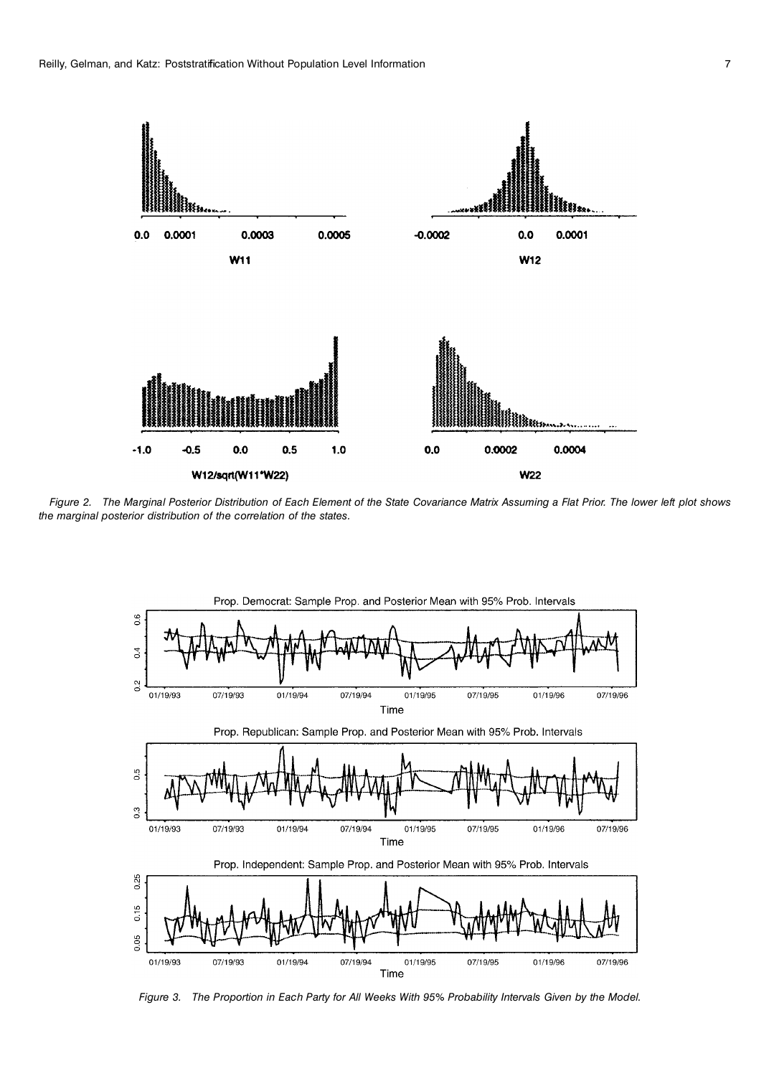

Figure 2. The Marginal Posterior Distribution of Each Element of the State Covariance Matrix Assuming a Flat Prior. The lower left plot shows *the marginal posterior distribution of the correlation of the states.*



Figure 3. The Proportion in Each Party for All Weeks With 95% Probability Intervals Given by the Model.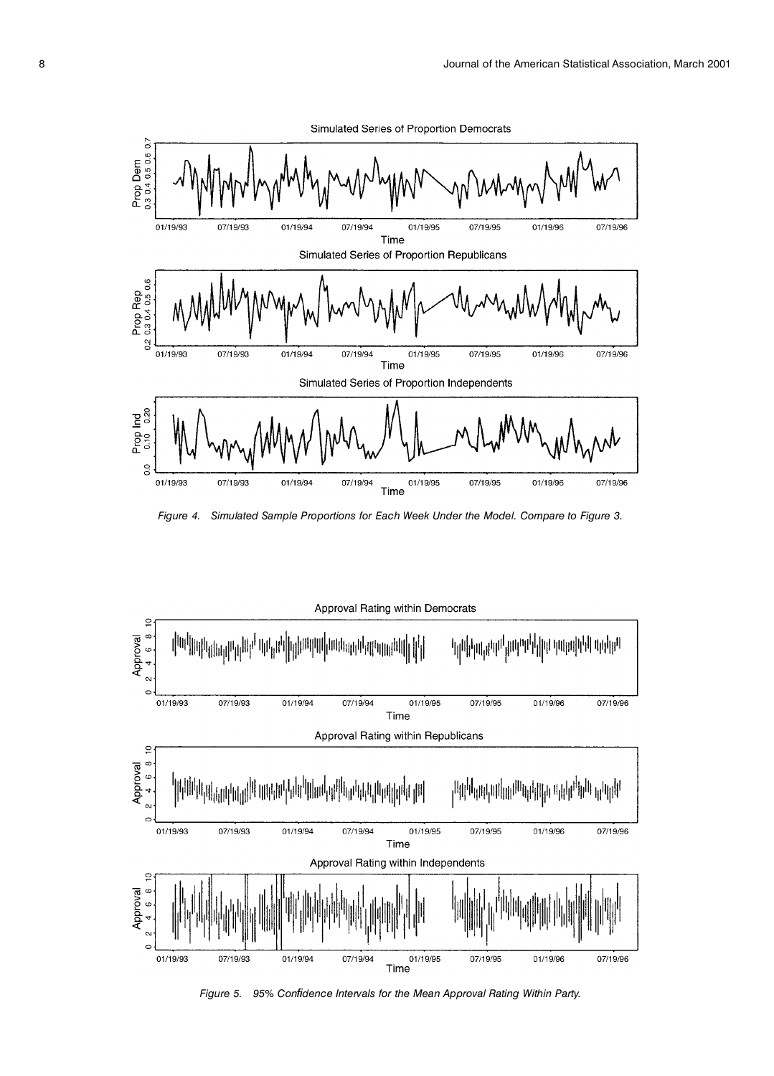

*Figure 4. Simulated Sample Proportions for Each Week Under the Model. Compare to Figure 3.*



*Figure 5. 95% Con dence Intervals for the Mean Approval Rating Within Party.*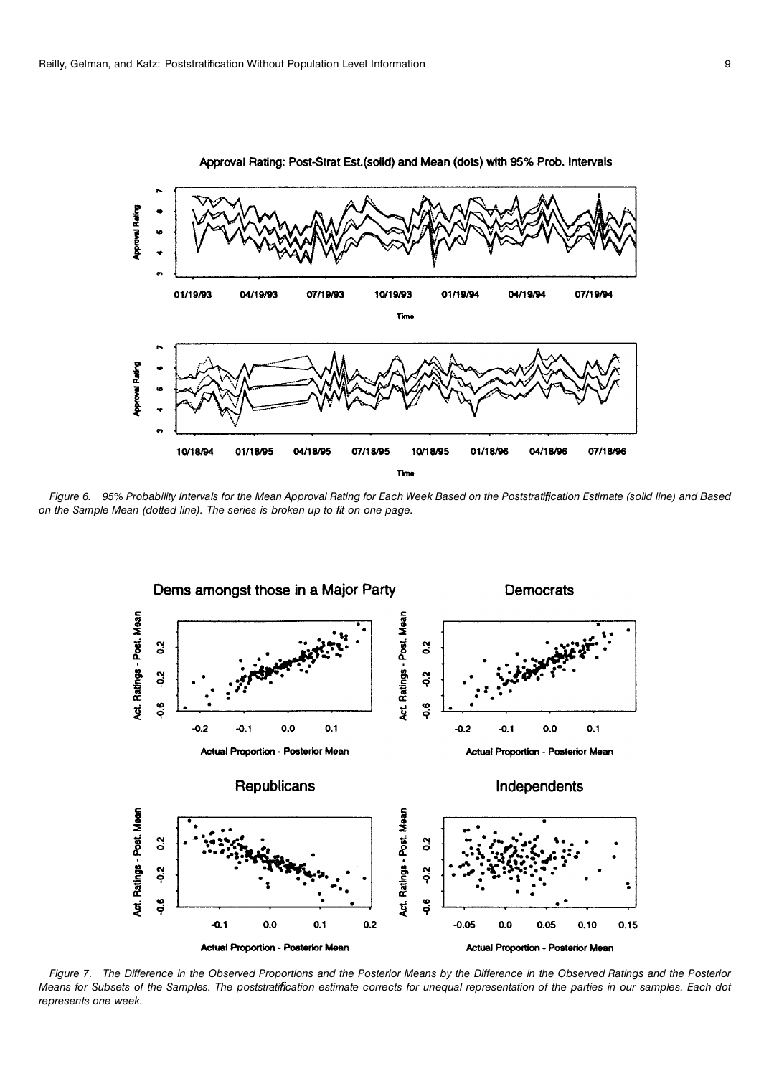

Approval Rating: Post-Strat Est.(solid) and Mean (dots) with 95% Prob. Intervals

Figure 6. 95% Probability Intervals for the Mean Approval Rating for Each Week Based on the Poststratification Estimate (solid line) and Based *on the Sample Mean (dotted line). The series is broken up to t on one page.*



Figure 7. The Difference in the Observed Proportions and the Posterior Means by the Difference in the Observed Ratings and the Posterior Means for Subsets of the Samples. The poststratification estimate corrects for unequal representation of the parties in our samples. Each dot *represents one week.*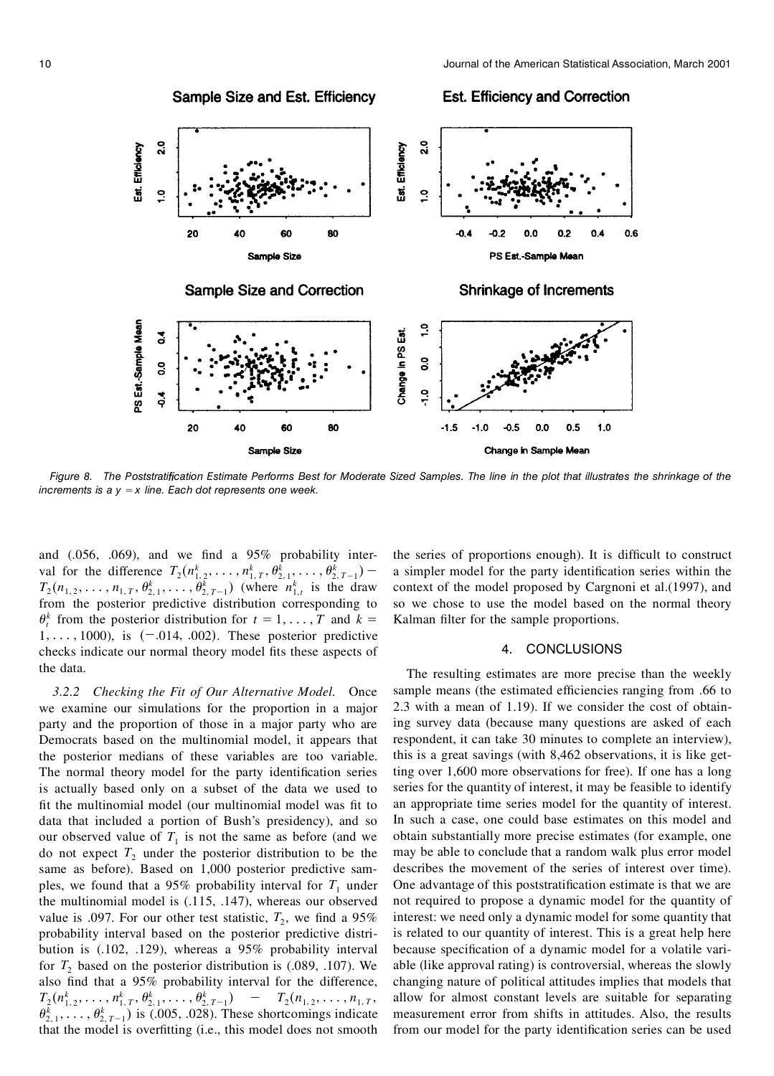

Figure 8. The Poststratification Estimate Performs Best for Moderate Sized Samples. The line in the plot that illustrates the shrinkage of the *increments is a y* = *x line. Each dot represents one week.*

and  $(.056, .069)$ , and we find a  $95\%$  probability interval for the difference  $T_2(n_{1,2}^k, \ldots, n_{1,T}^k, \theta_{2,1}^k, \ldots, \theta_{2,T-1}^k)$  - a s  $T_2(n_{1,2},...,n_{1,T},\theta_{2,1}^k,...,\theta_{2,T-1}^k)$  (where  $n_{1,t}^k$  is the draw containfrom the posterior predictive distribution corresponding to  $\theta_t^k$  from the posterior distribution for  $t = 1, \dots, T$  and  $k =$  Kal 1, ..., 1000), is  $(-.014, .002)$ . These posterior predictive checks indicate our normal theory model fits these aspects of the data.

*3.2.2 Checking the Fit of Our Alternative Model.* Once we examine our simulations for the proportion in a major party and the proportion of those in a major party who are Democrats based on the multinomial model, it appears that the posterior medians of these variables are too variable. The normal theory model for the party identification series is actually based only on a subset of the data we used to fit the multinomial model (our multinomial model was fit to data that included a portion of Bush's presidency), and so our observed value of  $T_1$  is not the same as before (and we do not expect  $T_2$  under the posterior distribution to be the same as before). Based on 1,000 posterior predictive samples, we found that a 95% probability interval for  $T_1$  under the multinomial model is (.115, .147), whereas our observed value is .097. For our other test statistic,  $T_2$ , we find a 95% interprobability interval based on the posterior predictive distribution is (.102, .129), whereas a 95% probability interval for  $T_2$  based on the posterior distribution is  $(.089, .107)$ . We also find that a 95% probability interval for the difference,  $T_2(n_{1,2}^k, \ldots, n_{1,T}^k, \theta_{2,1}^k, \ldots, \theta_{2,T-1}^k)$  -  $T_2(n_{1,2}, \ldots, n_{1,T},$  $\theta_{2,1}^k, \ldots, \theta_{2,T-1}^k$  is (.005, .028). These shortcomings indicate 1 that the model is overfitting (i.e., this model does not smooth

the series of proportions enough). It is difficult to construct a simpler model for the party identification series within the context of the model proposed by Cargnoni et al.(1997), and so we chose to use the model based on the normal theory Kalman filter for the sample proportions.

## 4. CONCLUSIONS

The resulting estimates are more precise than the weekly sample means (the estimated efficiencies ranging from .66 to 2.3 with a mean of 1.19). If we consider the cost of obtaining survey data (because many questions are asked of each respondent, it can take 30 minutes to complete an interview), this is a great savings (with 8,462 observations, it is like getting over 1,600 more observations for free). If one has a long series for the quantity of interest, it may be feasible to identify an appropriate time series model for the quantity of interest. In such a case, one could base estimates on this model and obtain substantially more precise estimates (for example, one may be able to conclude that a random walk plus error model describes the movement of the series of interest over time). One advantage of this poststratification estimate is that we are not required to propose a dynamic model for the quantity of interest: we need only a dynamic model for some quantity that is related to our quantity of interest. This is a great help here because specification of a dynamic model for a volatile variable (like approval rating) is controversial, whereas the slowly changing nature of political attitudes implies that models that allow for almost constant levels are suitable for separating measurement error from shifts in attitudes. Also, the results from our model for the party identification series can be used